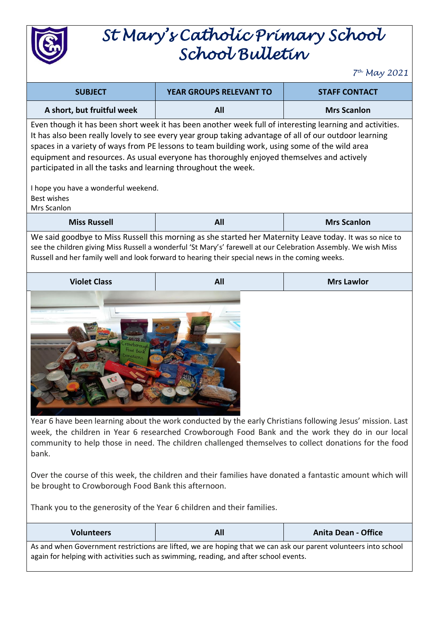

## *St Mary's Catholic Primary School School Bulletin*

*7 th May 2021*

| <b>SUBJECT</b>                                                                                                                                                                                                                                                                                                                                                                                                                                                                       | YEAR GROUPS RELEVANT TO | <b>STAFF CONTACT</b> |  |  |  |
|--------------------------------------------------------------------------------------------------------------------------------------------------------------------------------------------------------------------------------------------------------------------------------------------------------------------------------------------------------------------------------------------------------------------------------------------------------------------------------------|-------------------------|----------------------|--|--|--|
| A short, but fruitful week                                                                                                                                                                                                                                                                                                                                                                                                                                                           | All                     | <b>Mrs Scanlon</b>   |  |  |  |
| Even though it has been short week it has been another week full of interesting learning and activities.<br>It has also been really lovely to see every year group taking advantage of all of our outdoor learning<br>spaces in a variety of ways from PE lessons to team building work, using some of the wild area<br>equipment and resources. As usual everyone has thoroughly enjoyed themselves and actively<br>participated in all the tasks and learning throughout the week. |                         |                      |  |  |  |
| I hope you have a wonderful weekend.<br><b>Best wishes</b><br>Mrs Scanlon                                                                                                                                                                                                                                                                                                                                                                                                            |                         |                      |  |  |  |
| <b>Miss Russell</b>                                                                                                                                                                                                                                                                                                                                                                                                                                                                  | All                     | <b>Mrs Scanlon</b>   |  |  |  |
| We said goodbye to Miss Russell this morning as she started her Maternity Leave today. It was so nice to<br>see the children giving Miss Russell a wonderful 'St Mary's' farewell at our Celebration Assembly. We wish Miss<br>Russell and her family well and look forward to hearing their special news in the coming weeks.                                                                                                                                                       |                         |                      |  |  |  |
| <b>Violet Class</b>                                                                                                                                                                                                                                                                                                                                                                                                                                                                  | All                     | <b>Mrs Lawlor</b>    |  |  |  |
|                                                                                                                                                                                                                                                                                                                                                                                                                                                                                      |                         |                      |  |  |  |

Year 6 have been learning about the work conducted by the early Christians following Jesus' mission. Last week, the children in Year 6 researched Crowborough Food Bank and the work they do in our local community to help those in need. The children challenged themselves to collect donations for the food bank.

Over the course of this week, the children and their families have donated a fantastic amount which will be brought to Crowborough Food Bank this afternoon.

Thank you to the generosity of the Year 6 children and their families.

| <b>Volunteers</b>                                                                                               | All | <b>Anita Dean - Office</b> |  |  |
|-----------------------------------------------------------------------------------------------------------------|-----|----------------------------|--|--|
| As and when Government restrictions are lifted, we are hoping that we can ask our parent volunteers into school |     |                            |  |  |
| again for helping with activities such as swimming, reading, and after school events.                           |     |                            |  |  |